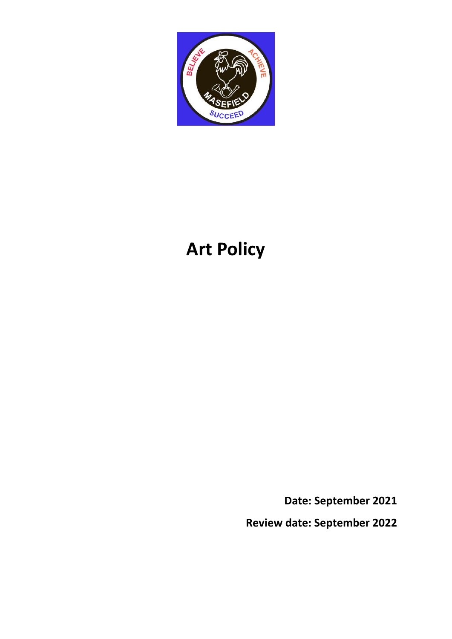

# **Art Policy**

**Date: September 2021**

**Review date: September 2022**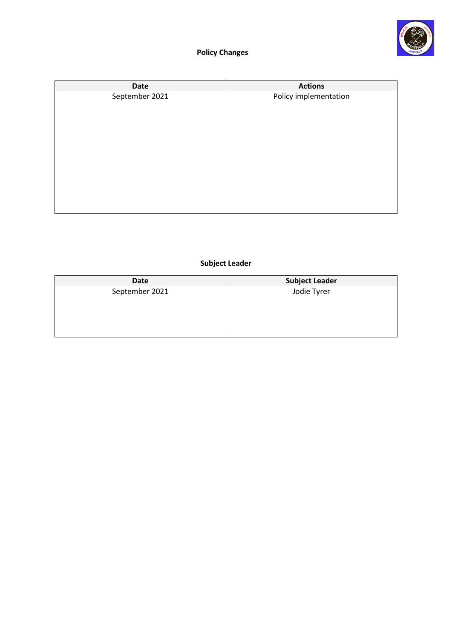

# **Policy Changes**

| <b>Date</b>    | <b>Actions</b>        |
|----------------|-----------------------|
| September 2021 | Policy implementation |
|                |                       |
|                |                       |
|                |                       |
|                |                       |
|                |                       |
|                |                       |
|                |                       |
|                |                       |
|                |                       |
|                |                       |

# **Subject Leader**

| Date           | <b>Subject Leader</b> |
|----------------|-----------------------|
| September 2021 | Jodie Tyrer           |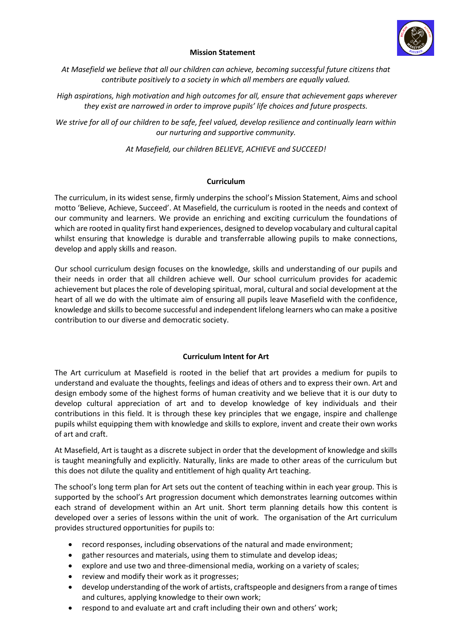

### **Mission Statement**

*At Masefield we believe that all our children can achieve, becoming successful future citizens that contribute positively to a society in which all members are equally valued.*

*High aspirations, high motivation and high outcomes for all, ensure that achievement gaps wherever they exist are narrowed in order to improve pupils' life choices and future prospects.*

*We strive for all of our children to be safe, feel valued, develop resilience and continually learn within our nurturing and supportive community.*

*At Masefield, our children BELIEVE, ACHIEVE and SUCCEED!*

### **Curriculum**

The curriculum, in its widest sense, firmly underpins the school's Mission Statement, Aims and school motto 'Believe, Achieve, Succeed'. At Masefield, the curriculum is rooted in the needs and context of our community and learners. We provide an enriching and exciting curriculum the foundations of which are rooted in quality first hand experiences, designed to develop vocabulary and cultural capital whilst ensuring that knowledge is durable and transferrable allowing pupils to make connections, develop and apply skills and reason.

Our school curriculum design focuses on the knowledge, skills and understanding of our pupils and their needs in order that all children achieve well. Our school curriculum provides for academic achievement but places the role of developing spiritual, moral, cultural and social development at the heart of all we do with the ultimate aim of ensuring all pupils leave Masefield with the confidence, knowledge and skills to become successful and independent lifelong learners who can make a positive contribution to our diverse and democratic society.

# **Curriculum Intent for Art**

The Art curriculum at Masefield is rooted in the belief that art provides a medium for pupils to understand and evaluate the thoughts, feelings and ideas of others and to express their own. Art and design embody some of the highest forms of human creativity and we believe that it is our duty to develop cultural appreciation of art and to develop knowledge of key individuals and their contributions in this field. It is through these key principles that we engage, inspire and challenge pupils whilst equipping them with knowledge and skills to explore, invent and create their own works of art and craft.

At Masefield, Art is taught as a discrete subject in order that the development of knowledge and skills is taught meaningfully and explicitly. Naturally, links are made to other areas of the curriculum but this does not dilute the quality and entitlement of high quality Art teaching.

The school's long term plan for Art sets out the content of teaching within in each year group. This is supported by the school's Art progression document which demonstrates learning outcomes within each strand of development within an Art unit. Short term planning details how this content is developed over a series of lessons within the unit of work. The organisation of the Art curriculum provides structured opportunities for pupils to:

- record responses, including observations of the natural and made environment;
- gather resources and materials, using them to stimulate and develop ideas;
- explore and use two and three-dimensional media, working on a variety of scales;
- review and modify their work as it progresses;
- develop understanding of the work of artists, craftspeople and designers from a range of times and cultures, applying knowledge to their own work;
- respond to and evaluate art and craft including their own and others' work;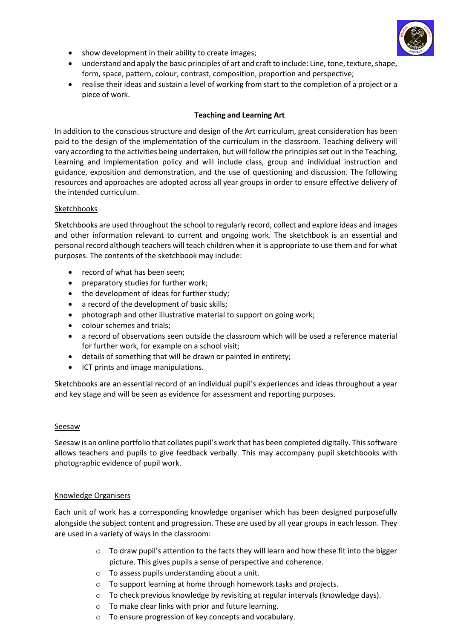

- show development in their ability to create images;
- understand and apply the basic principles of art and craft to include: Line, tone, texture, shape, form, space, pattern, colour, contrast, composition, proportion and perspective;
- realise their ideas and sustain a level of working from start to the completion of a project or a piece of work.

## **Teaching and Learning Art**

In addition to the conscious structure and design of the Art curriculum, great consideration has been paid to the design of the implementation of the curriculum in the classroom. Teaching delivery will vary according to the activities being undertaken, but will follow the principles set out in the Teaching, Learning and Implementation policy and will include class, group and individual instruction and guidance, exposition and demonstration, and the use of questioning and discussion. The following resources and approaches are adopted across all year groups in order to ensure effective delivery of the intended curriculum.

### Sketchbooks

Sketchbooks are used throughout the school to regularly record, collect and explore ideas and images and other information relevant to current and ongoing work. The sketchbook is an essential and personal record although teachers will teach children when it is appropriate to use them and for what purposes. The contents of the sketchbook may include:

- record of what has been seen;
- **•** preparatory studies for further work;
- the development of ideas for further study;
- a record of the development of basic skills;
- photograph and other illustrative material to support on going work;
- colour schemes and trials;
- a record of observations seen outside the classroom which will be used a reference material for further work, for example on a school visit;
- details of something that will be drawn or painted in entirety;
- ICT prints and image manipulations.

Sketchbooks are an essential record of an individual pupil's experiences and ideas throughout a year and key stage and will be seen as evidence for assessment and reporting purposes.

#### Seesaw

Seesaw is an online portfolio that collates pupil's work that has been completed digitally. This software allows teachers and pupils to give feedback verbally. This may accompany pupil sketchbooks with photographic evidence of pupil work.

#### Knowledge Organisers

Each unit of work has a corresponding knowledge organiser which has been designed purposefully alongside the subject content and progression. These are used by all year groups in each lesson. They are used in a variety of ways in the classroom:

- $\circ$  To draw pupil's attention to the facts they will learn and how these fit into the bigger picture. This gives pupils a sense of perspective and coherence.
- o To assess pupils understanding about a unit.
- o To support learning at home through homework tasks and projects.
- o To check previous knowledge by revisiting at regular intervals (knowledge days).
- o To make clear links with prior and future learning.
- o To ensure progression of key concepts and vocabulary.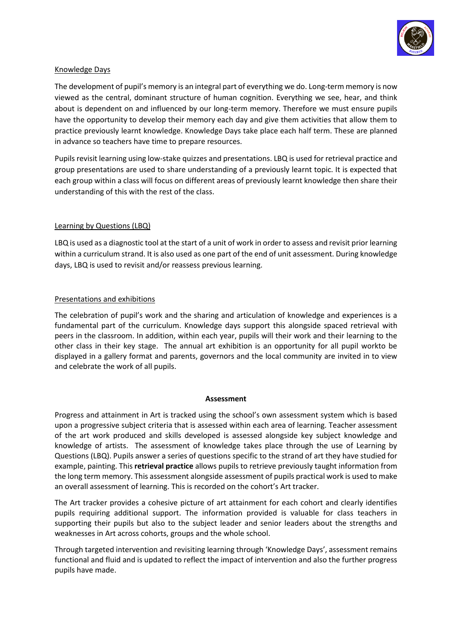

## Knowledge Days

The development of pupil's memory is an integral part of everything we do. Long-term memory is now viewed as the central, dominant structure of human cognition. Everything we see, hear, and think about is dependent on and influenced by our long-term memory. Therefore we must ensure pupils have the opportunity to develop their memory each day and give them activities that allow them to practice previously learnt knowledge. Knowledge Days take place each half term. These are planned in advance so teachers have time to prepare resources.

Pupils revisit learning using low-stake quizzes and presentations. LBQ is used for retrieval practice and group presentations are used to share understanding of a previously learnt topic. It is expected that each group within a class will focus on different areas of previously learnt knowledge then share their understanding of this with the rest of the class.

### Learning by Questions (LBQ)

LBQ is used as a diagnostic tool at the start of a unit of work in order to assess and revisit prior learning within a curriculum strand. It is also used as one part of the end of unit assessment. During knowledge days, LBQ is used to revisit and/or reassess previous learning.

### Presentations and exhibitions

The celebration of pupil's work and the sharing and articulation of knowledge and experiences is a fundamental part of the curriculum. Knowledge days support this alongside spaced retrieval with peers in the classroom. In addition, within each year, pupils will their work and their learning to the other class in their key stage. The annual art exhibition is an opportunity for all pupil workto be displayed in a gallery format and parents, governors and the local community are invited in to view and celebrate the work of all pupils.

#### **Assessment**

Progress and attainment in Art is tracked using the school's own assessment system which is based upon a progressive subject criteria that is assessed within each area of learning. Teacher assessment of the art work produced and skills developed is assessed alongside key subject knowledge and knowledge of artists. The assessment of knowledge takes place through the use of Learning by Questions (LBQ). Pupils answer a series of questions specific to the strand of art they have studied for example, painting. This **retrieval practice** allows pupils to retrieve previously taught information from the long term memory. This assessment alongside assessment of pupils practical work is used to make an overall assessment of learning. This is recorded on the cohort's Art tracker.

The Art tracker provides a cohesive picture of art attainment for each cohort and clearly identifies pupils requiring additional support. The information provided is valuable for class teachers in supporting their pupils but also to the subject leader and senior leaders about the strengths and weaknesses in Art across cohorts, groups and the whole school.

Through targeted intervention and revisiting learning through 'Knowledge Days', assessment remains functional and fluid and is updated to reflect the impact of intervention and also the further progress pupils have made.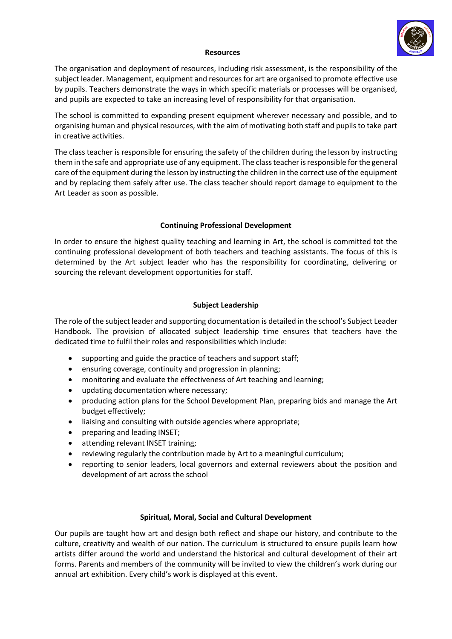

#### **Resources**

The organisation and deployment of resources, including risk assessment, is the responsibility of the subject leader. Management, equipment and resources for art are organised to promote effective use by pupils. Teachers demonstrate the ways in which specific materials or processes will be organised, and pupils are expected to take an increasing level of responsibility for that organisation.

The school is committed to expanding present equipment wherever necessary and possible, and to organising human and physical resources, with the aim of motivating both staff and pupils to take part in creative activities.

The class teacher is responsible for ensuring the safety of the children during the lesson by instructing them in the safe and appropriate use of any equipment. The class teacher is responsible for the general care of the equipment during the lesson by instructing the children in the correct use of the equipment and by replacing them safely after use. The class teacher should report damage to equipment to the Art Leader as soon as possible.

# **Continuing Professional Development**

In order to ensure the highest quality teaching and learning in Art, the school is committed tot the continuing professional development of both teachers and teaching assistants. The focus of this is determined by the Art subject leader who has the responsibility for coordinating, delivering or sourcing the relevant development opportunities for staff.

### **Subject Leadership**

The role of the subject leader and supporting documentation is detailed in the school's Subject Leader Handbook. The provision of allocated subject leadership time ensures that teachers have the dedicated time to fulfil their roles and responsibilities which include:

- supporting and guide the practice of teachers and support staff;
- ensuring coverage, continuity and progression in planning;
- monitoring and evaluate the effectiveness of Art teaching and learning;
- updating documentation where necessary;
- producing action plans for the School Development Plan, preparing bids and manage the Art budget effectively;
- liaising and consulting with outside agencies where appropriate;
- preparing and leading INSET;
- attending relevant INSET training;
- reviewing regularly the contribution made by Art to a meaningful curriculum;
- reporting to senior leaders, local governors and external reviewers about the position and development of art across the school

# **Spiritual, Moral, Social and Cultural Development**

Our pupils are taught how art and design both reflect and shape our history, and contribute to the culture, creativity and wealth of our nation. The curriculum is structured to ensure pupils learn how artists differ around the world and understand the historical and cultural development of their art forms. Parents and members of the community will be invited to view the children's work during our annual art exhibition. Every child's work is displayed at this event.